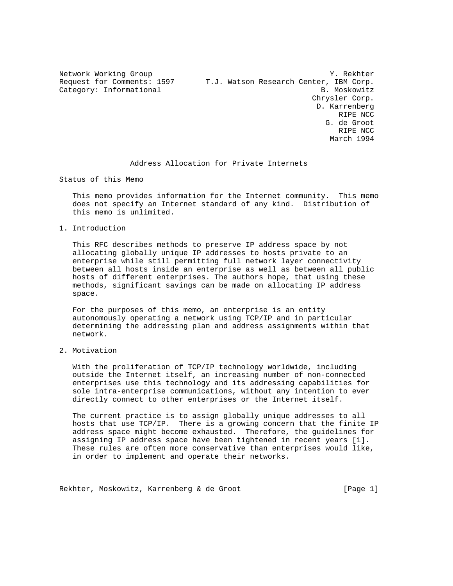Network Working Group Network Working Group Network Working Group Request for Comments: 1597 T.J. Watson Research Center, IBM Corp. Category: Informational B. Moskowitz Chrysler Corp. D. Karrenberg RIPE NCC G. de Groot RIPE NCC March 1994

## Address Allocation for Private Internets

Status of this Memo

 This memo provides information for the Internet community. This memo does not specify an Internet standard of any kind. Distribution of this memo is unlimited.

1. Introduction

 This RFC describes methods to preserve IP address space by not allocating globally unique IP addresses to hosts private to an enterprise while still permitting full network layer connectivity between all hosts inside an enterprise as well as between all public hosts of different enterprises. The authors hope, that using these methods, significant savings can be made on allocating IP address space.

 For the purposes of this memo, an enterprise is an entity autonomously operating a network using TCP/IP and in particular determining the addressing plan and address assignments within that network.

2. Motivation

 With the proliferation of TCP/IP technology worldwide, including outside the Internet itself, an increasing number of non-connected enterprises use this technology and its addressing capabilities for sole intra-enterprise communications, without any intention to ever directly connect to other enterprises or the Internet itself.

 The current practice is to assign globally unique addresses to all hosts that use TCP/IP. There is a growing concern that the finite IP address space might become exhausted. Therefore, the guidelines for assigning IP address space have been tightened in recent years [1]. These rules are often more conservative than enterprises would like, in order to implement and operate their networks.

Rekhter, Moskowitz, Karrenberg & de Groot [Page 1]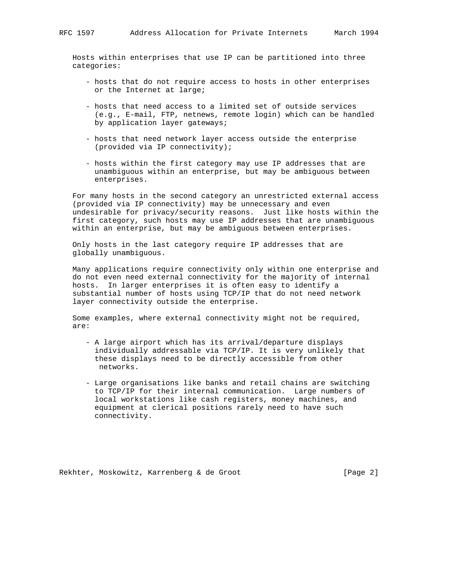Hosts within enterprises that use IP can be partitioned into three categories:

- hosts that do not require access to hosts in other enterprises or the Internet at large;
- hosts that need access to a limited set of outside services (e.g., E-mail, FTP, netnews, remote login) which can be handled by application layer gateways;
- hosts that need network layer access outside the enterprise (provided via IP connectivity);
- hosts within the first category may use IP addresses that are unambiguous within an enterprise, but may be ambiguous between enterprises.

 For many hosts in the second category an unrestricted external access (provided via IP connectivity) may be unnecessary and even undesirable for privacy/security reasons. Just like hosts within the first category, such hosts may use IP addresses that are unambiguous within an enterprise, but may be ambiguous between enterprises.

 Only hosts in the last category require IP addresses that are globally unambiguous.

 Many applications require connectivity only within one enterprise and do not even need external connectivity for the majority of internal hosts. In larger enterprises it is often easy to identify a substantial number of hosts using TCP/IP that do not need network layer connectivity outside the enterprise.

 Some examples, where external connectivity might not be required, are:

- A large airport which has its arrival/departure displays individually addressable via TCP/IP. It is very unlikely that these displays need to be directly accessible from other networks.
- Large organisations like banks and retail chains are switching to TCP/IP for their internal communication. Large numbers of local workstations like cash registers, money machines, and equipment at clerical positions rarely need to have such connectivity.

Rekhter, Moskowitz, Karrenberg & de Groot [Page 2]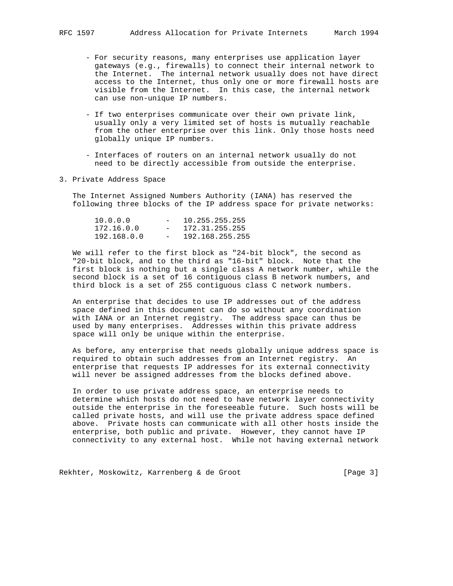- For security reasons, many enterprises use application layer gateways (e.g., firewalls) to connect their internal network to the Internet. The internal network usually does not have direct access to the Internet, thus only one or more firewall hosts are visible from the Internet. In this case, the internal network can use non-unique IP numbers.
- If two enterprises communicate over their own private link, usually only a very limited set of hosts is mutually reachable from the other enterprise over this link. Only those hosts need globally unique IP numbers.
- Interfaces of routers on an internal network usually do not need to be directly accessible from outside the enterprise.
- 3. Private Address Space

 The Internet Assigned Numbers Authority (IANA) has reserved the following three blocks of the IP address space for private networks:

| 10.0.0.0    |                          | 10.255.255.255  |
|-------------|--------------------------|-----------------|
| 172.16.0.0  | $ -$                     | 172.31.255.255  |
| 192.168.0.0 | $\overline{\phantom{0}}$ | 192.168.255.255 |

 We will refer to the first block as "24-bit block", the second as "20-bit block, and to the third as "16-bit" block. Note that the first block is nothing but a single class A network number, while the second block is a set of 16 contiguous class B network numbers, and third block is a set of 255 contiguous class C network numbers.

 An enterprise that decides to use IP addresses out of the address space defined in this document can do so without any coordination with IANA or an Internet registry. The address space can thus be used by many enterprises. Addresses within this private address space will only be unique within the enterprise.

 As before, any enterprise that needs globally unique address space is required to obtain such addresses from an Internet registry. An enterprise that requests IP addresses for its external connectivity will never be assigned addresses from the blocks defined above.

 In order to use private address space, an enterprise needs to determine which hosts do not need to have network layer connectivity outside the enterprise in the foreseeable future. Such hosts will be called private hosts, and will use the private address space defined above. Private hosts can communicate with all other hosts inside the enterprise, both public and private. However, they cannot have IP connectivity to any external host. While not having external network

Rekhter, Moskowitz, Karrenberg & de Groot [Page 3]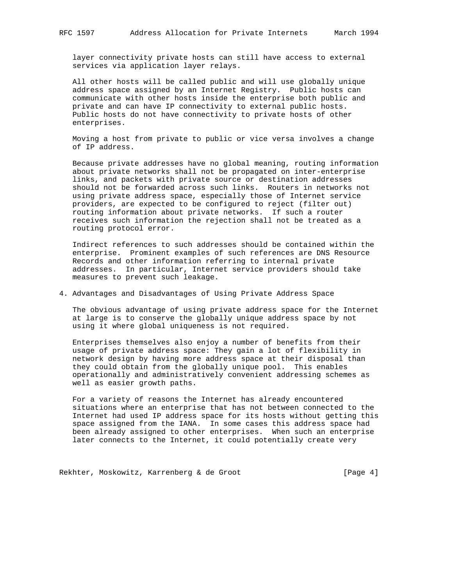layer connectivity private hosts can still have access to external services via application layer relays.

 All other hosts will be called public and will use globally unique address space assigned by an Internet Registry. Public hosts can communicate with other hosts inside the enterprise both public and private and can have IP connectivity to external public hosts. Public hosts do not have connectivity to private hosts of other enterprises.

 Moving a host from private to public or vice versa involves a change of IP address.

 Because private addresses have no global meaning, routing information about private networks shall not be propagated on inter-enterprise links, and packets with private source or destination addresses should not be forwarded across such links. Routers in networks not using private address space, especially those of Internet service providers, are expected to be configured to reject (filter out) routing information about private networks. If such a router receives such information the rejection shall not be treated as a routing protocol error.

 Indirect references to such addresses should be contained within the enterprise. Prominent examples of such references are DNS Resource Records and other information referring to internal private addresses. In particular, Internet service providers should take measures to prevent such leakage.

## 4. Advantages and Disadvantages of Using Private Address Space

 The obvious advantage of using private address space for the Internet at large is to conserve the globally unique address space by not using it where global uniqueness is not required.

 Enterprises themselves also enjoy a number of benefits from their usage of private address space: They gain a lot of flexibility in network design by having more address space at their disposal than they could obtain from the globally unique pool. This enables operationally and administratively convenient addressing schemes as well as easier growth paths.

 For a variety of reasons the Internet has already encountered situations where an enterprise that has not between connected to the Internet had used IP address space for its hosts without getting this space assigned from the IANA. In some cases this address space had been already assigned to other enterprises. When such an enterprise later connects to the Internet, it could potentially create very

Rekhter, Moskowitz, Karrenberg & de Groot [Page 4]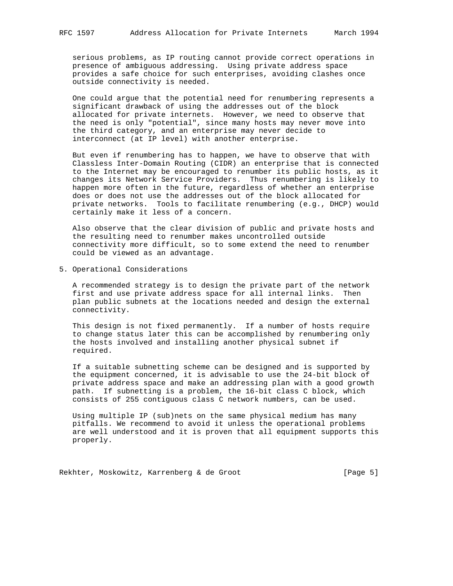serious problems, as IP routing cannot provide correct operations in presence of ambiguous addressing. Using private address space provides a safe choice for such enterprises, avoiding clashes once outside connectivity is needed.

 One could argue that the potential need for renumbering represents a significant drawback of using the addresses out of the block allocated for private internets. However, we need to observe that the need is only "potential", since many hosts may never move into the third category, and an enterprise may never decide to interconnect (at IP level) with another enterprise.

 But even if renumbering has to happen, we have to observe that with Classless Inter-Domain Routing (CIDR) an enterprise that is connected to the Internet may be encouraged to renumber its public hosts, as it changes its Network Service Providers. Thus renumbering is likely to happen more often in the future, regardless of whether an enterprise does or does not use the addresses out of the block allocated for private networks. Tools to facilitate renumbering (e.g., DHCP) would certainly make it less of a concern.

 Also observe that the clear division of public and private hosts and the resulting need to renumber makes uncontrolled outside connectivity more difficult, so to some extend the need to renumber could be viewed as an advantage.

5. Operational Considerations

 A recommended strategy is to design the private part of the network first and use private address space for all internal links. Then plan public subnets at the locations needed and design the external connectivity.

 This design is not fixed permanently. If a number of hosts require to change status later this can be accomplished by renumbering only the hosts involved and installing another physical subnet if required.

 If a suitable subnetting scheme can be designed and is supported by the equipment concerned, it is advisable to use the 24-bit block of private address space and make an addressing plan with a good growth path. If subnetting is a problem, the 16-bit class C block, which consists of 255 contiguous class C network numbers, can be used.

 Using multiple IP (sub)nets on the same physical medium has many pitfalls. We recommend to avoid it unless the operational problems are well understood and it is proven that all equipment supports this properly.

Rekhter, Moskowitz, Karrenberg & de Groot [Page 5]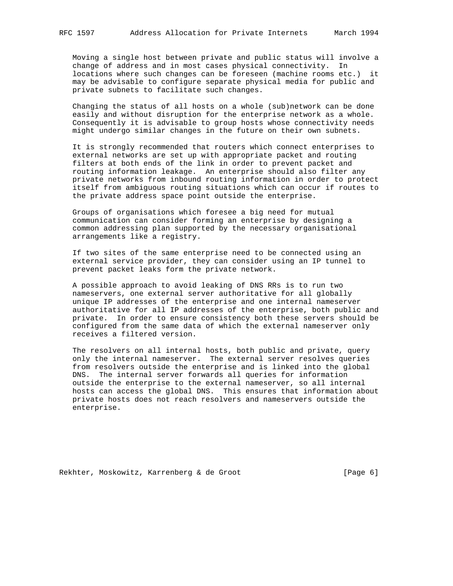Moving a single host between private and public status will involve a change of address and in most cases physical connectivity. In locations where such changes can be foreseen (machine rooms etc.) it may be advisable to configure separate physical media for public and private subnets to facilitate such changes.

 Changing the status of all hosts on a whole (sub)network can be done easily and without disruption for the enterprise network as a whole. Consequently it is advisable to group hosts whose connectivity needs might undergo similar changes in the future on their own subnets.

 It is strongly recommended that routers which connect enterprises to external networks are set up with appropriate packet and routing filters at both ends of the link in order to prevent packet and routing information leakage. An enterprise should also filter any private networks from inbound routing information in order to protect itself from ambiguous routing situations which can occur if routes to the private address space point outside the enterprise.

 Groups of organisations which foresee a big need for mutual communication can consider forming an enterprise by designing a common addressing plan supported by the necessary organisational arrangements like a registry.

 If two sites of the same enterprise need to be connected using an external service provider, they can consider using an IP tunnel to prevent packet leaks form the private network.

 A possible approach to avoid leaking of DNS RRs is to run two nameservers, one external server authoritative for all globally unique IP addresses of the enterprise and one internal nameserver authoritative for all IP addresses of the enterprise, both public and private. In order to ensure consistency both these servers should be configured from the same data of which the external nameserver only receives a filtered version.

 The resolvers on all internal hosts, both public and private, query only the internal nameserver. The external server resolves queries from resolvers outside the enterprise and is linked into the global DNS. The internal server forwards all queries for information outside the enterprise to the external nameserver, so all internal hosts can access the global DNS. This ensures that information about private hosts does not reach resolvers and nameservers outside the enterprise.

Rekhter, Moskowitz, Karrenberg & de Groot [Page 6]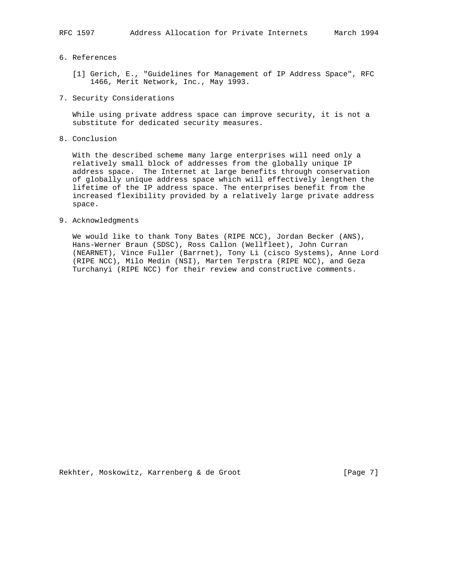## 6. References

- [1] Gerich, E., "Guidelines for Management of IP Address Space", RFC 1466, Merit Network, Inc., May 1993.
- 7. Security Considerations

 While using private address space can improve security, it is not a substitute for dedicated security measures.

8. Conclusion

 With the described scheme many large enterprises will need only a relatively small block of addresses from the globally unique IP address space. The Internet at large benefits through conservation of globally unique address space which will effectively lengthen the lifetime of the IP address space. The enterprises benefit from the increased flexibility provided by a relatively large private address space.

9. Acknowledgments

 We would like to thank Tony Bates (RIPE NCC), Jordan Becker (ANS), Hans-Werner Braun (SDSC), Ross Callon (Wellfleet), John Curran (NEARNET), Vince Fuller (Barrnet), Tony Li (cisco Systems), Anne Lord (RIPE NCC), Milo Medin (NSI), Marten Terpstra (RIPE NCC), and Geza Turchanyi (RIPE NCC) for their review and constructive comments.

Rekhter, Moskowitz, Karrenberg & de Groot [Page 7]